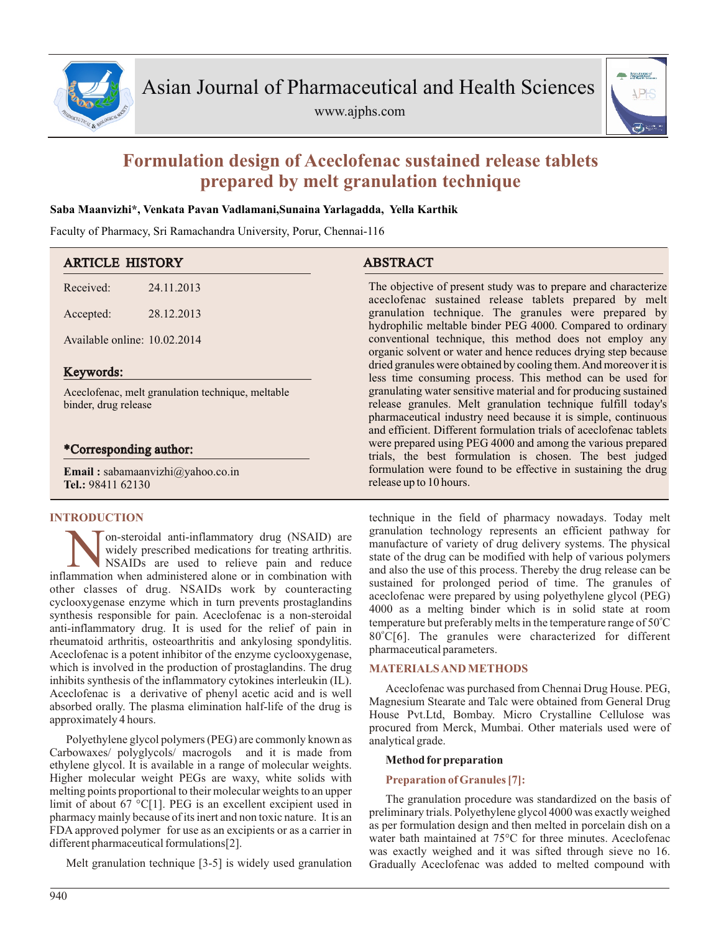

www.ajphs.com



# **Formulation design of Aceclofenac sustained release tablets prepared by melt granulation technique**

## **Saba Maanvizhi\*, Venkata Pavan Vadlamani,Sunaina Yarlagadda, Yella Karthik**

Faculty of Pharmacy, Sri Ramachandra University, Porur, Chennai-116

| <b>ARTICLE HISTORY</b>                                                    |            | <b>ABSTRACT</b>                                                                                                                                                                                                                                                         |  |  |  |  |
|---------------------------------------------------------------------------|------------|-------------------------------------------------------------------------------------------------------------------------------------------------------------------------------------------------------------------------------------------------------------------------|--|--|--|--|
| Received:                                                                 | 24.11.2013 | The objective of present study was to prepare and characterize<br>aceclofenac sustained release tablets prepared by melt                                                                                                                                                |  |  |  |  |
| Accepted:                                                                 | 28.12.2013 | granulation technique. The granules were prepared by<br>hydrophilic meltable binder PEG 4000. Compared to ordinary                                                                                                                                                      |  |  |  |  |
| Available online: 10.02.2014                                              |            | conventional technique, this method does not employ any<br>organic solvent or water and hence reduces drying step because                                                                                                                                               |  |  |  |  |
| Keywords:                                                                 |            | dried granules were obtained by cooling them. And moreover it is<br>less time consuming process. This method can be used for                                                                                                                                            |  |  |  |  |
| Aceclofenac, melt granulation technique, meltable<br>binder, drug release |            | granulating water sensitive material and for producing sustained<br>release granules. Melt granulation technique fulfill today's<br>pharmaceutical industry need because it is simple, continuous<br>and efficient. Different formulation trials of aceclofenac tablets |  |  |  |  |
| *Corresponding author:                                                    |            | were prepared using PEG 4000 and among the various prepared<br>trials, the best formulation is chosen. The best judged                                                                                                                                                  |  |  |  |  |
| <b>Email:</b> sabamaanvizhi@yahoo.co.in<br>Tel.: 98411 62130              |            | formulation were found to be effective in sustaining the drug<br>release up to 10 hours.                                                                                                                                                                                |  |  |  |  |

## **INTRODUCTION**

**N** on-steroidal anti-inflammatory drug (NSAID) are widely prescribed medications for treating arthritis.<br>INSAIDs are used to relieve pain and reduce inflammation when administered alone or in combination with on-steroidal anti-inflammatory drug (NSAID) are widely prescribed medications for treating arthritis. NSAIDs are used to relieve pain and reduce other classes of drug. NSAIDs work by counteracting cyclooxygenase enzyme which in turn prevents prostaglandins synthesis responsible for pain. Aceclofenac is a non-steroidal anti-inflammatory drug. It is used for the relief of pain in rheumatoid arthritis, osteoarthritis and ankylosing spondylitis. Aceclofenac is a potent inhibitor of the enzyme cyclooxygenase, which is involved in the production of prostaglandins. The drug inhibits synthesis of the inflammatory cytokines interleukin (IL). Aceclofenac is a derivative of phenyl acetic acid and is well absorbed orally. The plasma elimination half-life of the drug is approximately 4 hours.

Polyethylene glycol polymers (PEG) are commonly known as Carbowaxes/ polyglycols/ macrogols and it is made from ethylene glycol. It is available in a range of molecular weights. Higher molecular weight PEGs are waxy, white solids with melting points proportional to their molecular weights to an upper limit of about 67 °C[1]. PEG is an excellent excipient used in pharmacy mainly because of its inert and non toxic nature. It is an FDA approved polymer for use as an excipients or as a carrier in different pharmaceutical formulations[2].

Melt granulation technique [3-5] is widely used granulation

technique in the field of pharmacy nowadays. Today melt granulation technology represents an efficient pathway for manufacture of variety of drug delivery systems. The physical state of the drug can be modified with help of various polymers and also the use of this process. Thereby the drug release can be sustained for prolonged period of time. The granules of aceclofenac were prepared by using polyethylene glycol (PEG) 4000 as a melting binder which is in solid state at room temperature but preferably melts in the temperature range of  $50^{\circ}$ C 80°C[6]. The granules were characterized for different pharmaceutical parameters.

## **MATERIALS AND METHODS**

Aceclofenac was purchased from Chennai Drug House. PEG, Magnesium Stearate and Talc were obtained from General Drug House Pvt.Ltd, Bombay. Micro Crystalline Cellulose was procured from Merck, Mumbai. Other materials used were of analytical grade.

## **Method forpreparation**

## **Preparation of Granules [7]:**

The granulation procedure was standardized on the basis of preliminary trials. Polyethylene glycol 4000 was exactly weighed as per formulation design and then melted in porcelain dish on a water bath maintained at 75°C for three minutes. Aceclofenac was exactly weighed and it was sifted through sieve no 16. Gradually Aceclofenac was added to melted compound with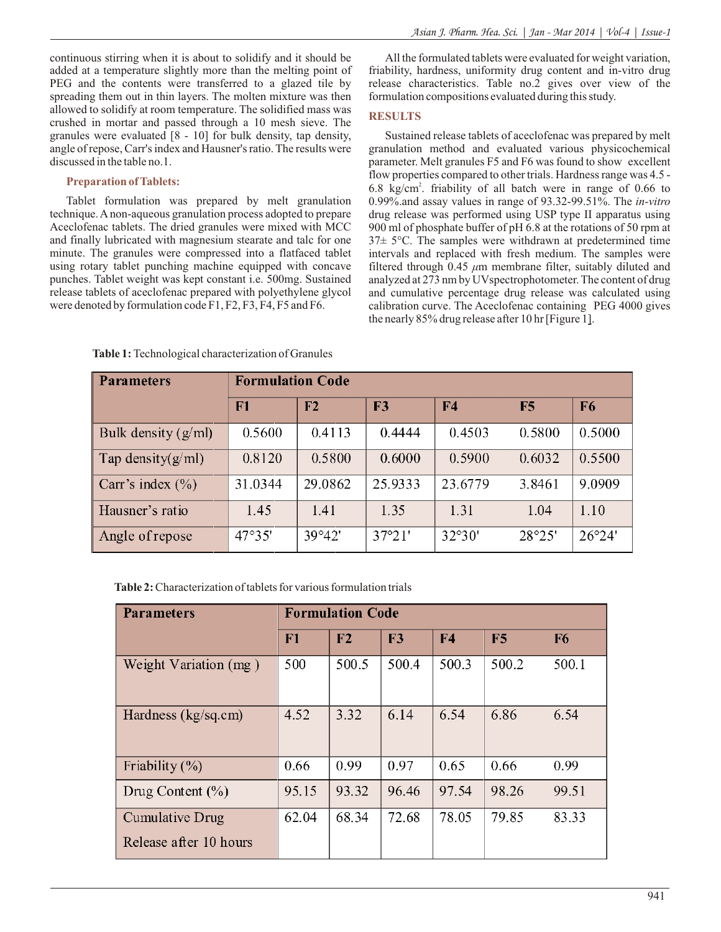continuous stirring when it is about to solidify and it should be added at a temperature slightly more than the melting point of PEG and the contents were transferred to a glazed tile by spreading them out in thin layers. The molten mixture was then allowed to solidify at room temperature. The solidified mass was crushed in mortar and passed through a 10 mesh sieve. The granules were evaluated [8 - 10] for bulk density, tap density, angle of repose, Carr's index and Hausner's ratio. The results were discussed in the table no.1.

## **Preparation of Tablets:**

Tablet formulation was prepared by melt granulation technique. Anon-aqueous granulation process adopted to prepare Aceclofenac tablets. The dried granules were mixed with MCC and finally lubricated with magnesium stearate and talc for one minute. The granules were compressed into a flatfaced tablet using rotary tablet punching machine equipped with concave punches. Tablet weight was kept constant i.e. 500mg. Sustained release tablets of aceclofenac prepared with polyethylene glycol were denoted by formulation code F1, F2, F3, F4, F5 and F6.

All the formulated tablets were evaluated for weight variation, friability, hardness, uniformity drug content and in-vitro drug release characteristics. Table no.2 gives over view of the formulation compositions evaluated during this study.

# **RESULTS**

Sustained release tablets of aceclofenac was prepared by melt granulation method and evaluated various physicochemical parameter. Melt granules F5 and F6 was found to show excellent flow properties compared to other trials. Hardness range was 4.5 - 6.8 kg/cm<sup>2</sup>. friability of all batch were in range of 0.66 to 0.99%.and assay values in range of 93.32-99.51%. The *in-vitro* drug release was performed using USP type II apparatus using 900 ml of phosphate buffer of pH 6.8 at the rotations of 50 rpm at 37± 5°C. The samples were withdrawn at predetermined time intervals and replaced with fresh medium. The samples were filtered through 0.45 *μ*m membrane filter, suitably diluted and analyzed at 273 nm by UVspectrophotometer. The content of drug and cumulative percentage drug release was calculated using calibration curve. The Aceclofenac containing PEG 4000 gives the nearly 85% drug release after 10 hr [Figure 1].

| <b>Parameters</b>     | <b>Formulation Code</b> |         |         |                |        |                |  |  |
|-----------------------|-------------------------|---------|---------|----------------|--------|----------------|--|--|
|                       | F1                      | F2      | F3      | F <sub>4</sub> | F5     | F <sub>6</sub> |  |  |
| Bulk density $(g/ml)$ | 0.5600                  | 0.4113  | 0.4444  | 0.4503         | 0.5800 | 0.5000         |  |  |
| Tap density $(g/ml)$  | 0.8120                  | 0.5800  | 0.6000  | 0.5900         | 0.6032 | 0.5500         |  |  |
| Carr's index $(\% )$  | 31.0344                 | 29.0862 | 25.9333 | 23.6779        | 3.8461 | 9.0909         |  |  |
| Hausner's ratio       | 1.45                    | 1.41    | 1.35    | 1.31           | 1.04   | 1.10           |  |  |
| Angle of repose       | 47°35'                  | 39°42'  | 37°21'  | 32°30'         | 28°25' | 26°24'         |  |  |

**Table 1:** Technological characterization of Granules

**Table 2:** Characterization of tablets for various formulation trials

| <b>Parameters</b>                         | <b>Formulation Code</b> |       |       |                |                |                |  |
|-------------------------------------------|-------------------------|-------|-------|----------------|----------------|----------------|--|
|                                           | ${\bf F1}$              | F2    | F3    | F <sub>4</sub> | F <sub>5</sub> | F <sub>6</sub> |  |
| Weight Variation (mg)                     | 500                     | 500.5 | 500.4 | 500.3          | 500.2          | 500.1          |  |
| Hardness $(kg/sq.cm)$                     | 4.52                    | 3.32  | 6.14  | 6.54           | 6.86           | 6.54           |  |
| Friability $(\% )$                        | 0.66                    | 0.99  | 0.97  | 0.65           | 0.66           | 0.99           |  |
| Drug Content $(\% )$                      | 95.15                   | 93.32 | 96.46 | 97.54          | 98.26          | 99.51          |  |
| Cumulative Drug<br>Release after 10 hours | 62.04                   | 68.34 | 72.68 | 78.05          | 79.85          | 83.33          |  |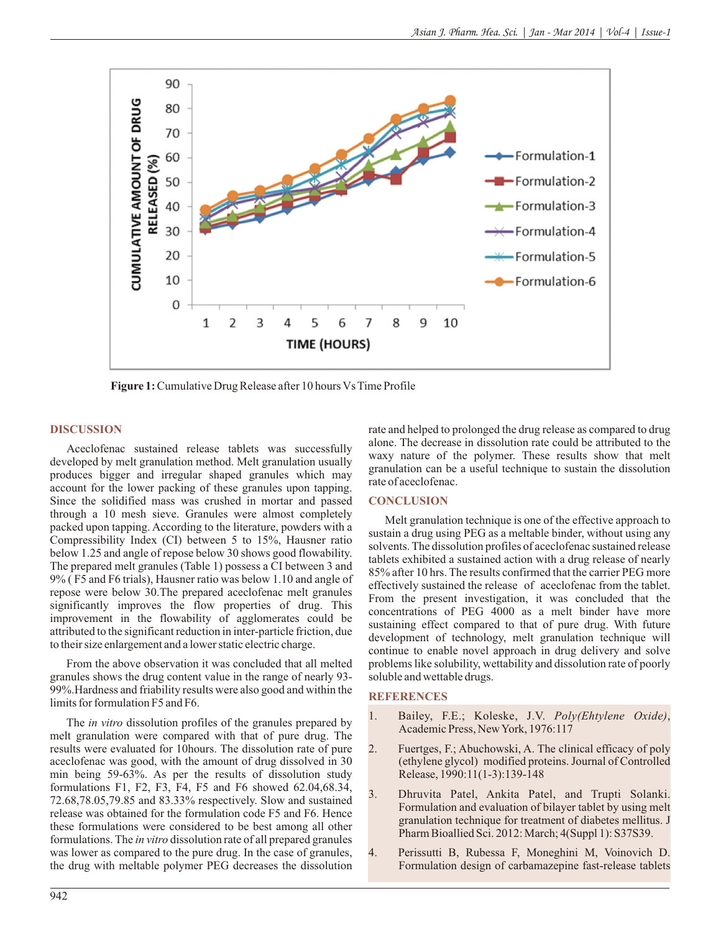

**Figure 1:** Cumulative Drug Release after 10 hours Vs Time Profile

#### **DISCUSSION**

Aceclofenac sustained release tablets was successfully developed by melt granulation method. Melt granulation usually produces bigger and irregular shaped granules which may account for the lower packing of these granules upon tapping. Since the solidified mass was crushed in mortar and passed through a 10 mesh sieve. Granules were almost completely packed upon tapping. According to the literature, powders with a Compressibility Index (CI) between 5 to 15%, Hausner ratio below 1.25 and angle of repose below 30 shows good flowability. The prepared melt granules (Table 1) possess a CI between 3 and 9% ( F5 and F6 trials), Hausner ratio was below 1.10 and angle of repose were below 30.The prepared aceclofenac melt granules significantly improves the flow properties of drug. This improvement in the flowability of agglomerates could be attributed to the significant reduction in inter-particle friction, due to their size enlargement and a lower static electric charge.

From the above observation it was concluded that all melted granules shows the drug content value in the range of nearly 93- 99%.Hardness and friability results were also good and within the limits for formulation F5 and F6.

The *in vitro* dissolution profiles of the granules prepared by melt granulation were compared with that of pure drug. The results were evaluated for 10hours. The dissolution rate of pure aceclofenac was good, with the amount of drug dissolved in 30 min being 59-63%. As per the results of dissolution study formulations F1, F2, F3, F4, F5 and F6 showed 62.04,68.34, 72.68,78.05,79.85 and 83.33% respectively. Slow and sustained release was obtained for the formulation code F5 and F6. Hence these formulations were considered to be best among all other formulations. The *in vitro* dissolution rate of all prepared granules was lower as compared to the pure drug. In the case of granules, the drug with meltable polymer PEG decreases the dissolution rate and helped to prolonged the drug release as compared to drug alone. The decrease in dissolution rate could be attributed to the waxy nature of the polymer. These results show that melt granulation can be a useful technique to sustain the dissolution rate of aceclofenac.

## **CONCLUSION**

Melt granulation technique is one of the effective approach to sustain a drug using PEG as a meltable binder, without using any solvents. The dissolution profiles of aceclofenac sustained release tablets exhibited a sustained action with a drug release of nearly 85% after 10 hrs. The results confirmed that the carrier PEG more effectively sustained the release of aceclofenac from the tablet. From the present investigation, it was concluded that the concentrations of PEG 4000 as a melt binder have more sustaining effect compared to that of pure drug. With future development of technology, melt granulation technique will continue to enable novel approach in drug delivery and solve problems like solubility, wettability and dissolution rate of poorly soluble and wettable drugs.

#### **REFERENCES**

- 1. Bailey, F.E.; Koleske, J.V. *Poly(Ehtylene Oxide)*, Academic Press, New York, 1976:117
- 2. Fuertges, F.; Abuchowski, A. The clinical efficacy of poly (ethylene glycol) modified proteins. Journal of Controlled Release, 1990:11(1-3):139-148
- 3. Dhruvita Patel, Ankita Patel, and Trupti Solanki. Formulation and evaluation of bilayer tablet by using melt granulation technique for treatment of diabetes mellitus. J Pharm Bioallied Sci. 2012: March; 4(Suppl 1): S37S39.
- 4. Perissutti B, Rubessa F, Moneghini M, Voinovich D. Formulation design of carbamazepine fast-release tablets